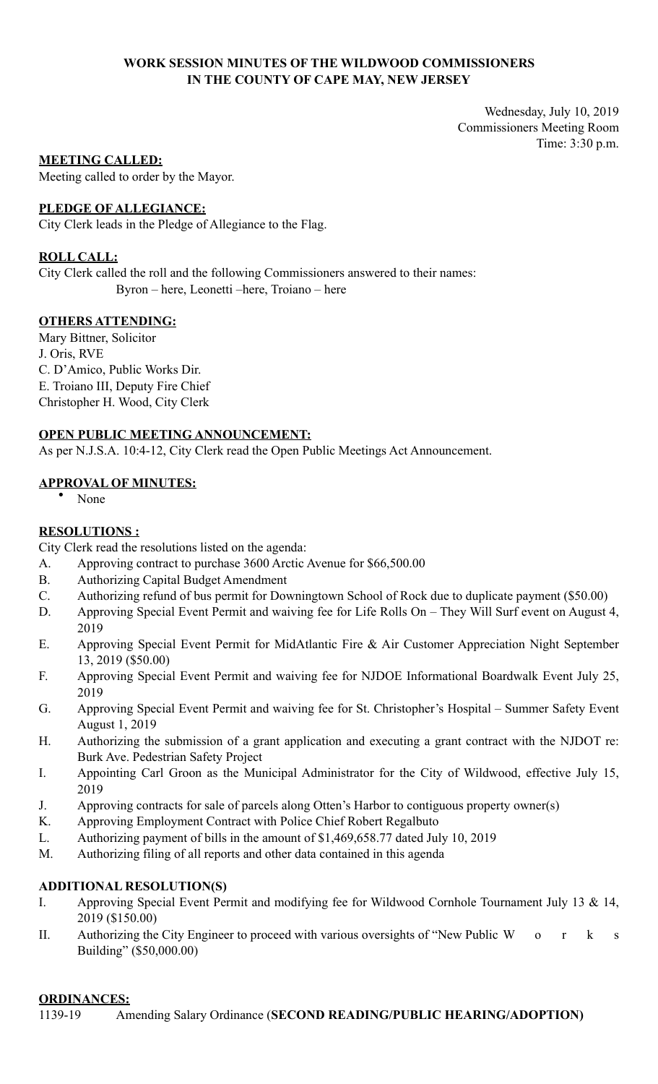# **WORK SESSION MINUTES OF THE WILDWOOD COMMISSIONERS IN THE COUNTY OF CAPE MAY, NEW JERSEY**

Wednesday, July 10, 2019 Commissioners Meeting Room Time: 3:30 p.m.

# **MEETING CALLED:**

Meeting called to order by the Mayor.

# **PLEDGE OF ALLEGIANCE:**

City Clerk leads in the Pledge of Allegiance to the Flag.

# **ROLL CALL:**

City Clerk called the roll and the following Commissioners answered to their names: Byron – here, Leonetti –here, Troiano – here

# **OTHERS ATTENDING:**

Mary Bittner, Solicitor J. Oris, RVE C. D'Amico, Public Works Dir. E. Troiano III, Deputy Fire Chief Christopher H. Wood, City Clerk

# **OPEN PUBLIC MEETING ANNOUNCEMENT:**

As per N.J.S.A. 10:4-12, City Clerk read the Open Public Meetings Act Announcement.

# **APPROVAL OF MINUTES:**

• None

# **RESOLUTIONS :**

City Clerk read the resolutions listed on the agenda:

- A. Approving contract to purchase 3600 Arctic Avenue for \$66,500.00
- B. Authorizing Capital Budget Amendment
- C. Authorizing refund of bus permit for Downingtown School of Rock due to duplicate payment (\$50.00)
- D. Approving Special Event Permit and waiving fee for Life Rolls On They Will Surf event on August 4, 2019
- E. Approving Special Event Permit for MidAtlantic Fire & Air Customer Appreciation Night September 13, 2019 (\$50.00)
- F. Approving Special Event Permit and waiving fee for NJDOE Informational Boardwalk Event July 25, 2019
- G. Approving Special Event Permit and waiving fee for St. Christopher's Hospital Summer Safety Event August 1, 2019
- H. Authorizing the submission of a grant application and executing a grant contract with the NJDOT re: Burk Ave. Pedestrian Safety Project
- I. Appointing Carl Groon as the Municipal Administrator for the City of Wildwood, effective July 15, 2019
- J. Approving contracts for sale of parcels along Otten's Harbor to contiguous property owner(s)
- K. Approving Employment Contract with Police Chief Robert Regalbuto
- L. Authorizing payment of bills in the amount of \$1,469,658.77 dated July 10, 2019
- M. Authorizing filing of all reports and other data contained in this agenda

# **ADDITIONAL RESOLUTION(S)**

- I. Approving Special Event Permit and modifying fee for Wildwood Cornhole Tournament July 13 & 14, 2019 (\$150.00)
- II. Authorizing the City Engineer to proceed with various oversights of "New Public W o r k s Building" (\$50,000.00)

# **ORDINANCES:**

1139-19 Amending Salary Ordinance (**SECOND READING/PUBLIC HEARING/ADOPTION)**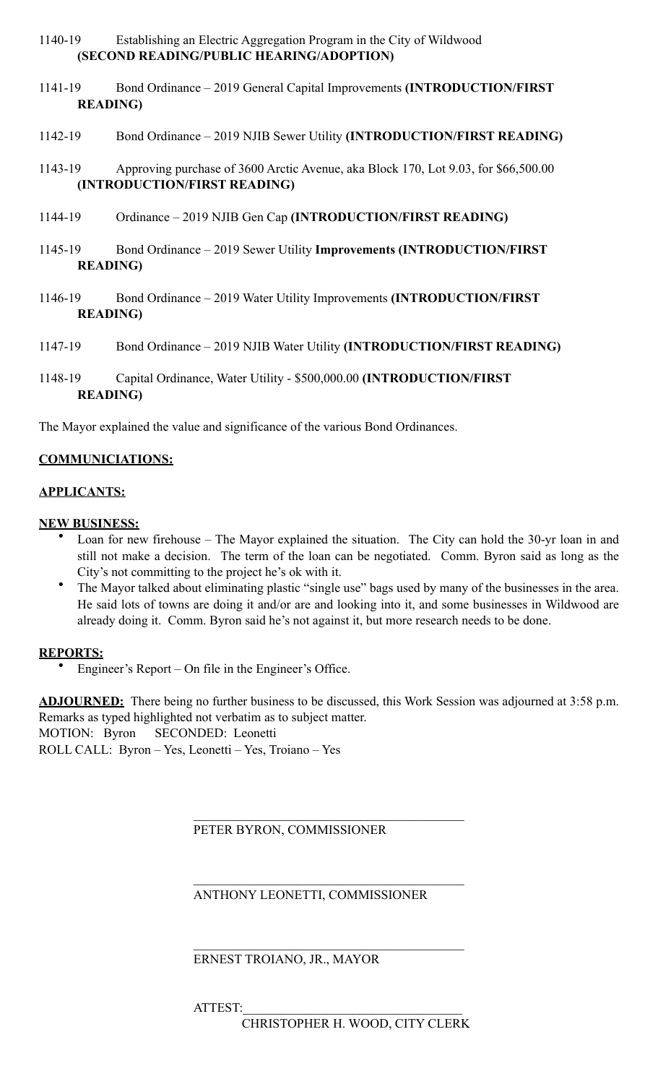# 1140-19 Establishing an Electric Aggregation Program in the City of Wildwood **(SECOND READING/PUBLIC HEARING/ADOPTION)**

- 1141-19 Bond Ordinance 2019 General Capital Improvements **(INTRODUCTION/FIRST READING)**
- 1142-19 Bond Ordinance 2019 NJIB Sewer Utility **(INTRODUCTION/FIRST READING)**
- 1143-19 Approving purchase of 3600 Arctic Avenue, aka Block 170, Lot 9.03, for \$66,500.00 **(INTRODUCTION/FIRST READING)**
- 1144-19 Ordinance 2019 NJIB Gen Cap **(INTRODUCTION/FIRST READING)**
- 1145-19 Bond Ordinance 2019 Sewer Utility **Improvements (INTRODUCTION/FIRST READING)**
- 1146-19 Bond Ordinance 2019 Water Utility Improvements **(INTRODUCTION/FIRST READING)**
- 1147-19 Bond Ordinance 2019 NJIB Water Utility **(INTRODUCTION/FIRST READING)**
- 1148-19 Capital Ordinance, Water Utility \$500,000.00 **(INTRODUCTION/FIRST READING)**

The Mayor explained the value and significance of the various Bond Ordinances.

# **COMMUNICIATIONS:**

#### **APPLICANTS:**

#### **NEW BUSINESS:**

- Loan for new firehouse The Mayor explained the situation. The City can hold the 30-yr loan in and still not make a decision. The term of the loan can be negotiated. Comm. Byron said as long as the City's not committing to the project he's ok with it.
- The Mayor talked about eliminating plastic "single use" bags used by many of the businesses in the area. He said lots of towns are doing it and/or are and looking into it, and some businesses in Wildwood are already doing it. Comm. Byron said he's not against it, but more research needs to be done.

#### **REPORTS:**

• Engineer's Report – On file in the Engineer's Office.

**ADJOURNED:** There being no further business to be discussed, this Work Session was adjourned at 3:58 p.m. Remarks as typed highlighted not verbatim as to subject matter. MOTION: Byron SECONDED: Leonetti ROLL CALL: Byron – Yes, Leonetti – Yes, Troiano – Yes

PETER BYRON, COMMISSIONER

 $\mathcal{L}_\mathcal{L} = \mathcal{L}_\mathcal{L} = \mathcal{L}_\mathcal{L} = \mathcal{L}_\mathcal{L} = \mathcal{L}_\mathcal{L} = \mathcal{L}_\mathcal{L} = \mathcal{L}_\mathcal{L} = \mathcal{L}_\mathcal{L} = \mathcal{L}_\mathcal{L} = \mathcal{L}_\mathcal{L} = \mathcal{L}_\mathcal{L} = \mathcal{L}_\mathcal{L} = \mathcal{L}_\mathcal{L} = \mathcal{L}_\mathcal{L} = \mathcal{L}_\mathcal{L} = \mathcal{L}_\mathcal{L} = \mathcal{L}_\mathcal{L}$ 

 $\mathcal{L}_\mathcal{L} = \mathcal{L}_\mathcal{L} = \mathcal{L}_\mathcal{L} = \mathcal{L}_\mathcal{L} = \mathcal{L}_\mathcal{L} = \mathcal{L}_\mathcal{L} = \mathcal{L}_\mathcal{L} = \mathcal{L}_\mathcal{L} = \mathcal{L}_\mathcal{L} = \mathcal{L}_\mathcal{L} = \mathcal{L}_\mathcal{L} = \mathcal{L}_\mathcal{L} = \mathcal{L}_\mathcal{L} = \mathcal{L}_\mathcal{L} = \mathcal{L}_\mathcal{L} = \mathcal{L}_\mathcal{L} = \mathcal{L}_\mathcal{L}$ 

 $\mathcal{L}_\mathcal{L} = \mathcal{L}_\mathcal{L} = \mathcal{L}_\mathcal{L} = \mathcal{L}_\mathcal{L} = \mathcal{L}_\mathcal{L} = \mathcal{L}_\mathcal{L} = \mathcal{L}_\mathcal{L} = \mathcal{L}_\mathcal{L} = \mathcal{L}_\mathcal{L} = \mathcal{L}_\mathcal{L} = \mathcal{L}_\mathcal{L} = \mathcal{L}_\mathcal{L} = \mathcal{L}_\mathcal{L} = \mathcal{L}_\mathcal{L} = \mathcal{L}_\mathcal{L} = \mathcal{L}_\mathcal{L} = \mathcal{L}_\mathcal{L}$ 

ANTHONY LEONETTI, COMMISSIONER

ERNEST TROIANO, JR., MAYOR

ATTEST:

CHRISTOPHER H. WOOD, CITY CLERK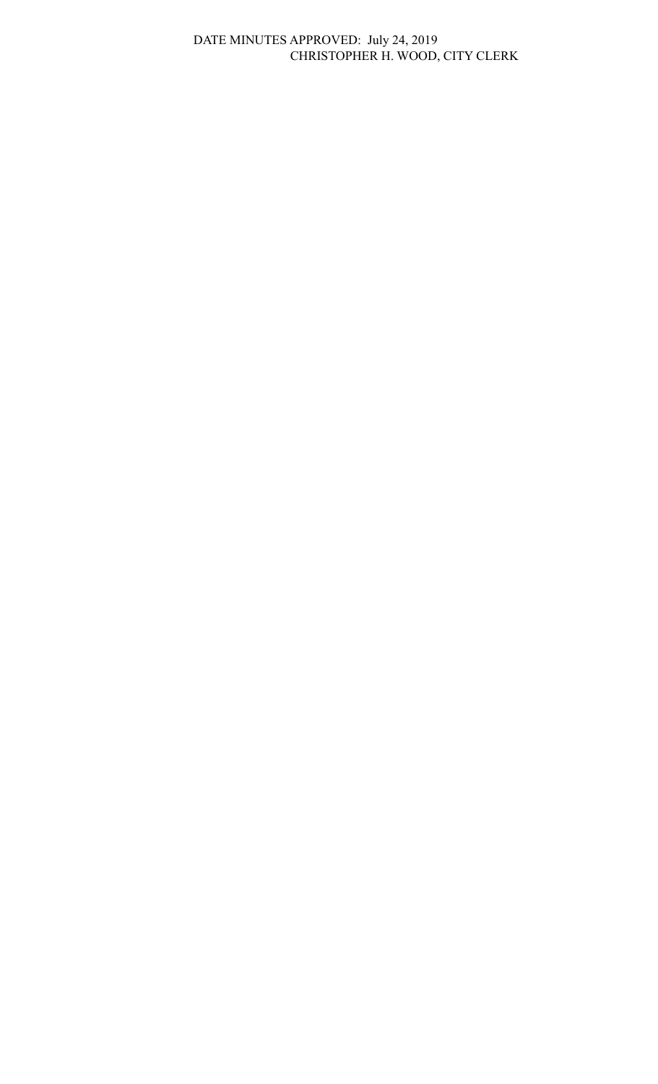# DATE MINUTES APPROVED: July 24, 2019 CHRISTOPHER H. WOOD, CITY CLERK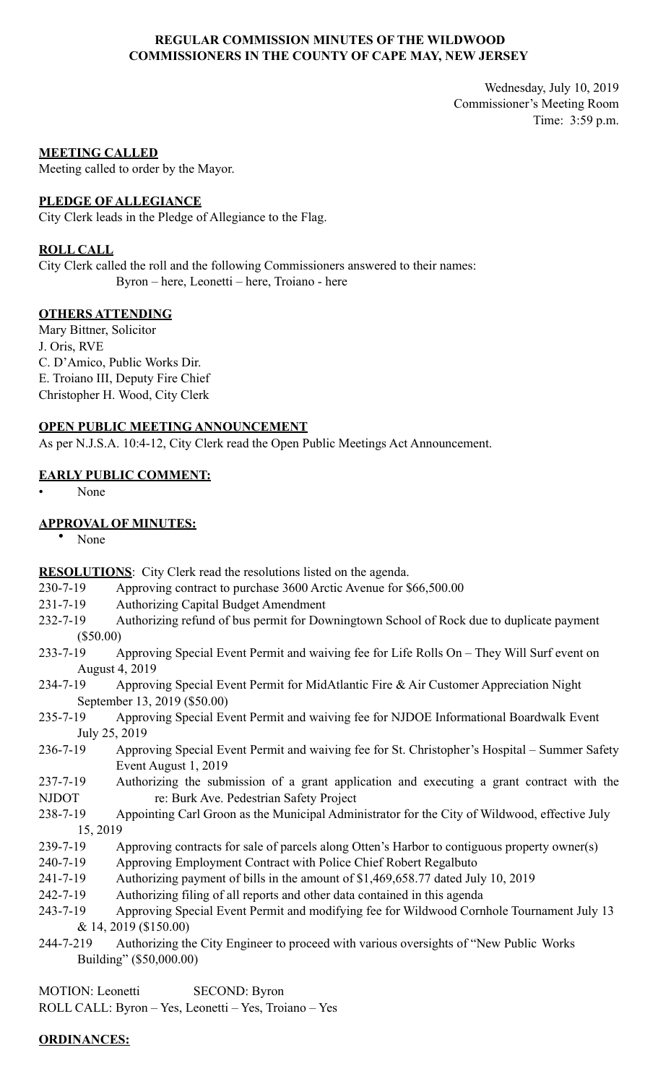# **REGULAR COMMISSION MINUTES OF THE WILDWOOD COMMISSIONERS IN THE COUNTY OF CAPE MAY, NEW JERSEY**

Wednesday, July 10, 2019 Commissioner's Meeting Room Time: 3:59 p.m.

#### **MEETING CALLED**

Meeting called to order by the Mayor.

#### **PLEDGE OF ALLEGIANCE**

City Clerk leads in the Pledge of Allegiance to the Flag.

### **ROLL CALL**

City Clerk called the roll and the following Commissioners answered to their names: Byron – here, Leonetti – here, Troiano - here

# **OTHERS ATTENDING**

Mary Bittner, Solicitor J. Oris, RVE C. D'Amico, Public Works Dir. E. Troiano III, Deputy Fire Chief Christopher H. Wood, City Clerk

# **OPEN PUBLIC MEETING ANNOUNCEMENT**

As per N.J.S.A. 10:4-12, City Clerk read the Open Public Meetings Act Announcement.

# **EARLY PUBLIC COMMENT:**

• None

# **APPROVAL OF MINUTES:**

• None

**RESOLUTIONS**: City Clerk read the resolutions listed on the agenda.

- 230-7-19 Approving contract to purchase 3600 Arctic Avenue for \$66,500.00
- 231-7-19 Authorizing Capital Budget Amendment
- 232-7-19 Authorizing refund of bus permit for Downingtown School of Rock due to duplicate payment (\$50.00)
- 233-7-19 Approving Special Event Permit and waiving fee for Life Rolls On They Will Surf event on August 4, 2019
- 234-7-19 Approving Special Event Permit for MidAtlantic Fire & Air Customer Appreciation Night September 13, 2019 (\$50.00)
- 235-7-19 Approving Special Event Permit and waiving fee for NJDOE Informational Boardwalk Event July 25, 2019
- 236-7-19 Approving Special Event Permit and waiving fee for St. Christopher's Hospital Summer Safety Event August 1, 2019
- 237-7-19 Authorizing the submission of a grant application and executing a grant contract with the NJDOT re: Burk Ave. Pedestrian Safety Project
- 238-7-19 Appointing Carl Groon as the Municipal Administrator for the City of Wildwood, effective July 15, 2019
- 239-7-19 Approving contracts for sale of parcels along Otten's Harbor to contiguous property owner(s)
- 240-7-19 Approving Employment Contract with Police Chief Robert Regalbuto
- 241-7-19 Authorizing payment of bills in the amount of \$1,469,658.77 dated July 10, 2019
- 242-7-19 Authorizing filing of all reports and other data contained in this agenda
- 243-7-19 Approving Special Event Permit and modifying fee for Wildwood Cornhole Tournament July 13 & 14, 2019 (\$150.00)
- 244-7-219 Authorizing the City Engineer to proceed with various oversights of "New Public Works Building" (\$50,000.00)

MOTION: Leonetti SECOND: Byron ROLL CALL: Byron – Yes, Leonetti – Yes, Troiano – Yes

#### **ORDINANCES:**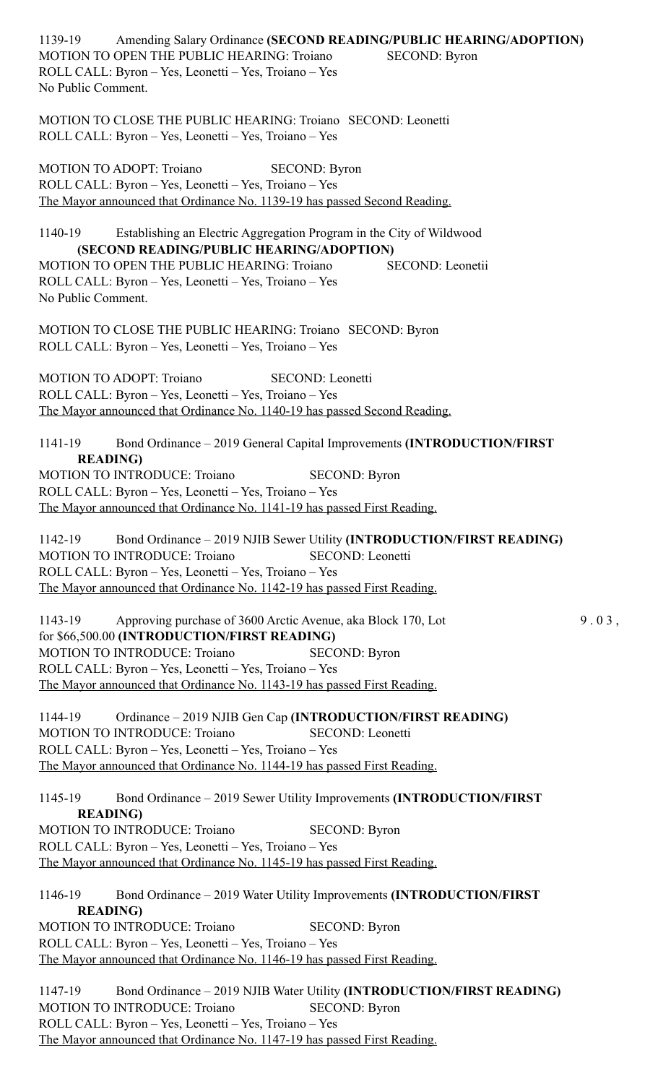1139-19 Amending Salary Ordinance **(SECOND READING/PUBLIC HEARING/ADOPTION)** MOTION TO OPEN THE PUBLIC HEARING: Troiano SECOND: Byron ROLL CALL: Byron – Yes, Leonetti – Yes, Troiano – Yes No Public Comment.

MOTION TO CLOSE THE PUBLIC HEARING: Troiano SECOND: Leonetti ROLL CALL: Byron – Yes, Leonetti – Yes, Troiano – Yes

MOTION TO ADOPT: Troiano SECOND: Byron ROLL CALL: Byron – Yes, Leonetti – Yes, Troiano – Yes The Mayor announced that Ordinance No. 1139-19 has passed Second Reading.

1140-19 Establishing an Electric Aggregation Program in the City of Wildwood **(SECOND READING/PUBLIC HEARING/ADOPTION)**  MOTION TO OPEN THE PUBLIC HEARING: Troiano SECOND: Leonetii ROLL CALL: Byron – Yes, Leonetti – Yes, Troiano – Yes No Public Comment.

MOTION TO CLOSE THE PUBLIC HEARING: Troiano SECOND: Byron ROLL CALL: Byron – Yes, Leonetti – Yes, Troiano – Yes

MOTION TO ADOPT: Troiano SECOND: Leonetti ROLL CALL: Byron – Yes, Leonetti – Yes, Troiano – Yes The Mayor announced that Ordinance No. 1140-19 has passed Second Reading.

1141-19 Bond Ordinance – 2019 General Capital Improvements **(INTRODUCTION/FIRST READING)**  MOTION TO INTRODUCE: Troiano SECOND: Byron ROLL CALL: Byron – Yes, Leonetti – Yes, Troiano – Yes

The Mayor announced that Ordinance No. 1141-19 has passed First Reading.

1142-19 Bond Ordinance – 2019 NJIB Sewer Utility **(INTRODUCTION/FIRST READING)**  MOTION TO INTRODUCE: Troiano SECOND: Leonetti ROLL CALL: Byron – Yes, Leonetti – Yes, Troiano – Yes The Mayor announced that Ordinance No. 1142-19 has passed First Reading.

1143-19 Approving purchase of 3600 Arctic Avenue, aka Block 170, Lot 9.0 3, for \$66,500.00 **(INTRODUCTION/FIRST READING)**  MOTION TO INTRODUCE: Troiano SECOND: Byron ROLL CALL: Byron – Yes, Leonetti – Yes, Troiano – Yes The Mayor announced that Ordinance No. 1143-19 has passed First Reading.

1144-19 Ordinance – 2019 NJIB Gen Cap **(INTRODUCTION/FIRST READING)**  MOTION TO INTRODUCE: Troiano SECOND: Leonetti ROLL CALL: Byron – Yes, Leonetti – Yes, Troiano – Yes The Mayor announced that Ordinance No. 1144-19 has passed First Reading.

1145-19 Bond Ordinance – 2019 Sewer Utility Improvements **(INTRODUCTION/FIRST READING)**  MOTION TO INTRODUCE: Troiano SECOND: Byron ROLL CALL: Byron – Yes, Leonetti – Yes, Troiano – Yes The Mayor announced that Ordinance No. 1145-19 has passed First Reading.

1146-19 Bond Ordinance – 2019 Water Utility Improvements **(INTRODUCTION/FIRST READING)**  MOTION TO INTRODUCE: Troiano SECOND: Byron

ROLL CALL: Byron – Yes, Leonetti – Yes, Troiano – Yes

The Mayor announced that Ordinance No. 1146-19 has passed First Reading.

1147-19 Bond Ordinance – 2019 NJIB Water Utility **(INTRODUCTION/FIRST READING)**  MOTION TO INTRODUCE: Troiano SECOND: Byron ROLL CALL: Byron – Yes, Leonetti – Yes, Troiano – Yes The Mayor announced that Ordinance No. 1147-19 has passed First Reading.